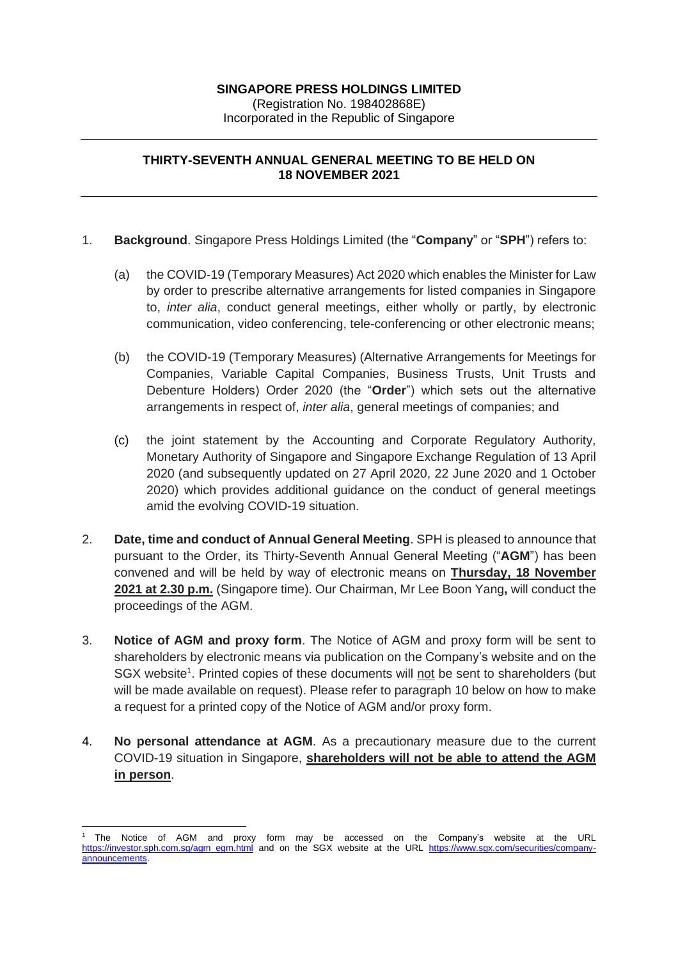## **SINGAPORE PRESS HOLDINGS LIMITED**

(Registration No. 198402868E) Incorporated in the Republic of Singapore

## **THIRTY-SEVENTH ANNUAL GENERAL MEETING TO BE HELD ON 18 NOVEMBER 2021**

- 1. **Background**. Singapore Press Holdings Limited (the "**Company**" or "**SPH**") refers to:
	- (a) the COVID-19 (Temporary Measures) Act 2020 which enables the Minister for Law by order to prescribe alternative arrangements for listed companies in Singapore to, *inter alia*, conduct general meetings, either wholly or partly, by electronic communication, video conferencing, tele-conferencing or other electronic means;
	- (b) the COVID-19 (Temporary Measures) (Alternative Arrangements for Meetings for Companies, Variable Capital Companies, Business Trusts, Unit Trusts and Debenture Holders) Order 2020 (the "**Order**") which sets out the alternative arrangements in respect of, *inter alia*, general meetings of companies; and
	- (c) the joint statement by the Accounting and Corporate Regulatory Authority, Monetary Authority of Singapore and Singapore Exchange Regulation of 13 April 2020 (and subsequently updated on 27 April 2020, 22 June 2020 and 1 October 2020) which provides additional guidance on the conduct of general meetings amid the evolving COVID-19 situation.
- 2. **Date, time and conduct of Annual General Meeting**. SPH is pleased to announce that pursuant to the Order, its Thirty-Seventh Annual General Meeting ("**AGM**") has been convened and will be held by way of electronic means on **Thursday, 18 November 2021 at 2.30 p.m.** (Singapore time). Our Chairman, Mr Lee Boon Yang**,** will conduct the proceedings of the AGM.
- 3. **Notice of AGM and proxy form**. The Notice of AGM and proxy form will be sent to shareholders by electronic means via publication on the Company's website and on the SGX website<sup>1</sup>. Printed copies of these documents will not be sent to shareholders (but will be made available on request). Please refer to paragraph 10 below on how to make a request for a printed copy of the Notice of AGM and/or proxy form.
- 4. **No personal attendance at AGM**. As a precautionary measure due to the current COVID-19 situation in Singapore, **shareholders will not be able to attend the AGM in person**.

<sup>1</sup> The Notice of AGM and proxy form may be accessed on the Company's website at the URL [https://investor.sph.com.sg/agm\\_egm.html](https://investor.sph.com.sg/agm_egm.html) and on the SGX website at the URL [https://www.sgx.com/securities/company](https://www.sgx.com/securities/company-announcements)[announcements.](https://www.sgx.com/securities/company-announcements)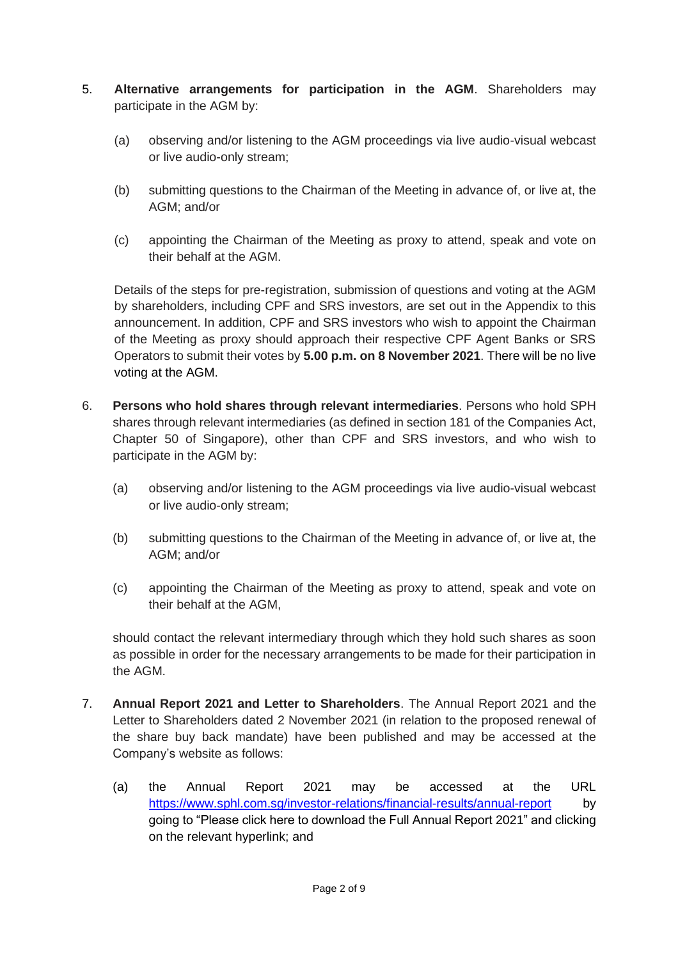- 5. **Alternative arrangements for participation in the AGM**. Shareholders may participate in the AGM by:
	- (a) observing and/or listening to the AGM proceedings via live audio-visual webcast or live audio-only stream;
	- (b) submitting questions to the Chairman of the Meeting in advance of, or live at, the AGM; and/or
	- (c) appointing the Chairman of the Meeting as proxy to attend, speak and vote on their behalf at the AGM.

Details of the steps for pre-registration, submission of questions and voting at the AGM by shareholders, including CPF and SRS investors, are set out in the Appendix to this announcement. In addition, CPF and SRS investors who wish to appoint the Chairman of the Meeting as proxy should approach their respective CPF Agent Banks or SRS Operators to submit their votes by **5.00 p.m. on 8 November 2021**. There will be no live voting at the AGM.

- 6. **Persons who hold shares through relevant intermediaries**. Persons who hold SPH shares through relevant intermediaries (as defined in section 181 of the Companies Act, Chapter 50 of Singapore), other than CPF and SRS investors, and who wish to participate in the AGM by:
	- (a) observing and/or listening to the AGM proceedings via live audio-visual webcast or live audio-only stream;
	- (b) submitting questions to the Chairman of the Meeting in advance of, or live at, the AGM; and/or
	- (c) appointing the Chairman of the Meeting as proxy to attend, speak and vote on their behalf at the AGM,

should contact the relevant intermediary through which they hold such shares as soon as possible in order for the necessary arrangements to be made for their participation in the AGM.

- 7. **Annual Report 2021 and Letter to Shareholders**. The Annual Report 2021 and the Letter to Shareholders dated 2 November 2021 (in relation to the proposed renewal of the share buy back mandate) have been published and may be accessed at the Company's website as follows:
	- (a) the Annual Report 2021 may be accessed at the URL <https://www.sphl.com.sg/investor-relations/financial-results/annual-report> by going to "Please click here to download the Full Annual Report 2021" and clicking on the relevant hyperlink; and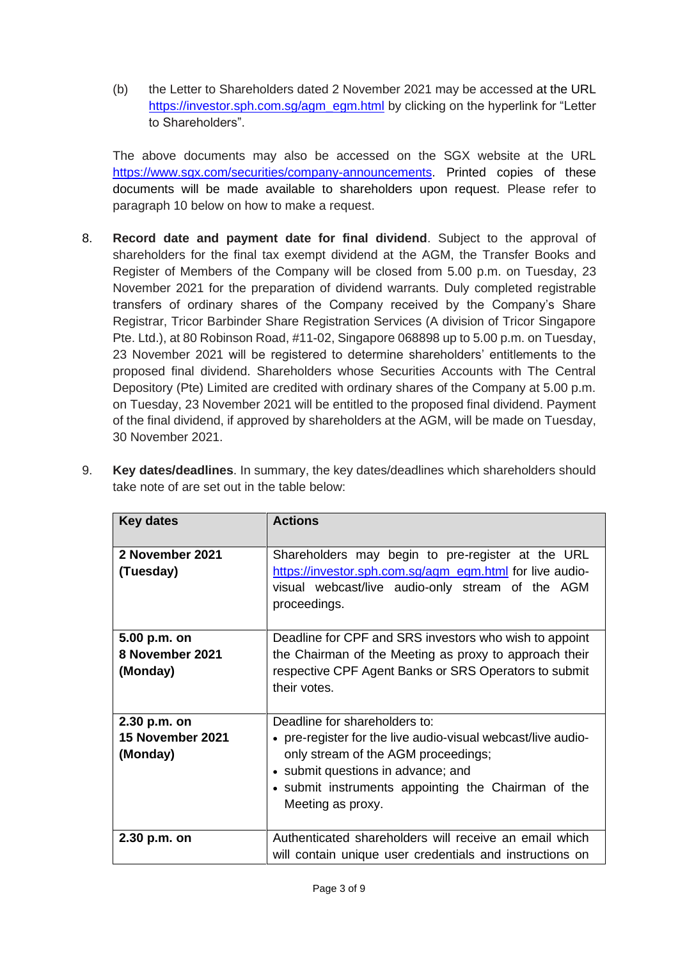(b) the Letter to Shareholders dated 2 November 2021 may be accessed at the URL [https://investor.sph.com.sg/agm\\_egm.html](https://investor.sph.com.sg/agm_egm.html) by clicking on the hyperlink for "Letter to Shareholders".

The above documents may also be accessed on the SGX website at the URL [https://www.sgx.com/securities/company-announcements.](https://www.sgx.com/securities/company-announcements) Printed copies of these documents will be made available to shareholders upon request. Please refer to paragraph 10 below on how to make a request.

8. **Record date and payment date for final dividend**. Subject to the approval of shareholders for the final tax exempt dividend at the AGM, the Transfer Books and Register of Members of the Company will be closed from 5.00 p.m. on Tuesday, 23 November 2021 for the preparation of dividend warrants. Duly completed registrable transfers of ordinary shares of the Company received by the Company's Share Registrar, Tricor Barbinder Share Registration Services (A division of Tricor Singapore Pte. Ltd.), at 80 Robinson Road, #11-02, Singapore 068898 up to 5.00 p.m. on Tuesday, 23 November 2021 will be registered to determine shareholders' entitlements to the proposed final dividend. Shareholders whose Securities Accounts with The Central Depository (Pte) Limited are credited with ordinary shares of the Company at 5.00 p.m. on Tuesday, 23 November 2021 will be entitled to the proposed final dividend. Payment of the final dividend, if approved by shareholders at the AGM, will be made on Tuesday, 30 November 2021.

| <b>Key dates</b>                             | <b>Actions</b>                                                                                                                                                                                                                                         |
|----------------------------------------------|--------------------------------------------------------------------------------------------------------------------------------------------------------------------------------------------------------------------------------------------------------|
| 2 November 2021<br>(Tuesday)                 | Shareholders may begin to pre-register at the URL<br>https://investor.sph.com.sg/agm_egm.html for live audio-<br>visual webcast/live audio-only stream of the AGM<br>proceedings.                                                                      |
| 5.00 p.m. on<br>8 November 2021<br>(Monday)  | Deadline for CPF and SRS investors who wish to appoint<br>the Chairman of the Meeting as proxy to approach their<br>respective CPF Agent Banks or SRS Operators to submit<br>their votes.                                                              |
| 2.30 p.m. on<br>15 November 2021<br>(Monday) | Deadline for shareholders to:<br>• pre-register for the live audio-visual webcast/live audio-<br>only stream of the AGM proceedings;<br>• submit questions in advance; and<br>• submit instruments appointing the Chairman of the<br>Meeting as proxy. |
| 2.30 p.m. on                                 | Authenticated shareholders will receive an email which<br>will contain unique user credentials and instructions on                                                                                                                                     |

9. **Key dates/deadlines**. In summary, the key dates/deadlines which shareholders should take note of are set out in the table below: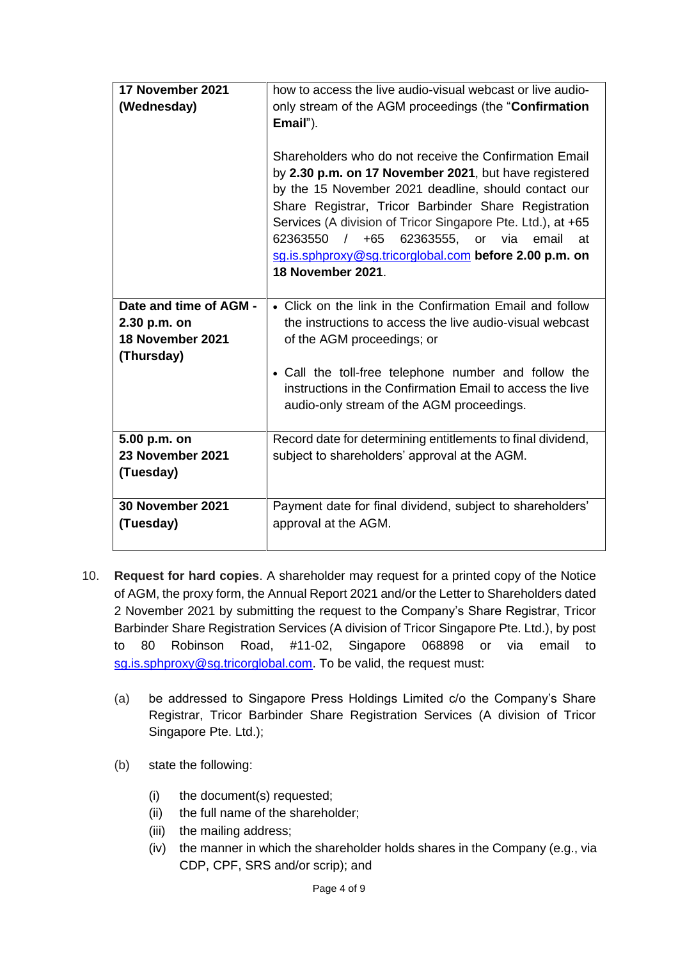| 17 November 2021<br>(Wednesday)                                          | how to access the live audio-visual webcast or live audio-<br>only stream of the AGM proceedings (the "Confirmation"<br>Email").<br>Shareholders who do not receive the Confirmation Email<br>by 2.30 p.m. on 17 November 2021, but have registered<br>by the 15 November 2021 deadline, should contact our<br>Share Registrar, Tricor Barbinder Share Registration<br>Services (A division of Tricor Singapore Pte. Ltd.), at +65<br>62363550 / +65<br>62363555,<br>or<br>via<br>email<br>at<br>sg.is.sphproxy@sg.tricorglobal.com before 2.00 p.m. on<br><b>18 November 2021.</b> |
|--------------------------------------------------------------------------|-------------------------------------------------------------------------------------------------------------------------------------------------------------------------------------------------------------------------------------------------------------------------------------------------------------------------------------------------------------------------------------------------------------------------------------------------------------------------------------------------------------------------------------------------------------------------------------|
| Date and time of AGM -<br>2.30 p.m. on<br>18 November 2021<br>(Thursday) | • Click on the link in the Confirmation Email and follow<br>the instructions to access the live audio-visual webcast<br>of the AGM proceedings; or<br>• Call the toll-free telephone number and follow the<br>instructions in the Confirmation Email to access the live<br>audio-only stream of the AGM proceedings.                                                                                                                                                                                                                                                                |
| 5.00 p.m. on<br>23 November 2021<br>(Tuesday)                            | Record date for determining entitlements to final dividend,<br>subject to shareholders' approval at the AGM.                                                                                                                                                                                                                                                                                                                                                                                                                                                                        |
| 30 November 2021<br>(Tuesday)                                            | Payment date for final dividend, subject to shareholders'<br>approval at the AGM.                                                                                                                                                                                                                                                                                                                                                                                                                                                                                                   |

- 10. **Request for hard copies**. A shareholder may request for a printed copy of the Notice of AGM, the proxy form, the Annual Report 2021 and/or the Letter to Shareholders dated 2 November 2021 by submitting the request to the Company's Share Registrar, Tricor Barbinder Share Registration Services (A division of Tricor Singapore Pte. Ltd.), by post to 80 Robinson Road, #11-02, Singapore 068898 or via email to [sg.is.sphproxy@sg.tricorglobal.com.](mailto:sg.is.sphproxy@sg.tricorglobal.com) To be valid, the request must:
	- (a) be addressed to Singapore Press Holdings Limited c/o the Company's Share Registrar, Tricor Barbinder Share Registration Services (A division of Tricor Singapore Pte. Ltd.);
	- (b) state the following:
		- (i) the document(s) requested;
		- (ii) the full name of the shareholder;
		- (iii) the mailing address;
		- (iv) the manner in which the shareholder holds shares in the Company (e.g., via CDP, CPF, SRS and/or scrip); and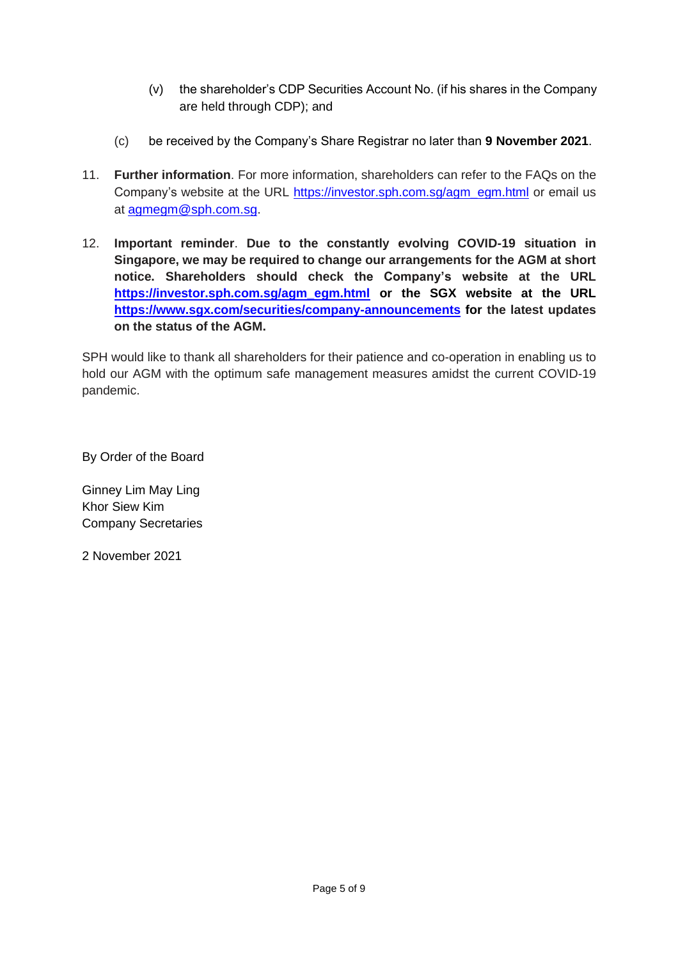- (v) the shareholder's CDP Securities Account No. (if his shares in the Company are held through CDP); and
- (c) be received by the Company's Share Registrar no later than **9 November 2021**.
- 11. **Further information**. For more information, shareholders can refer to the FAQs on the Company's website at the URL [https://investor.sph.com.sg/agm\\_egm.html](https://investor.sph.com.sg/agm_egm.html) or email us at [agmegm@sph.com.sg.](mailto:agmegm@sph.com.sg)
- 12. **Important reminder**. **Due to the constantly evolving COVID-19 situation in Singapore, we may be required to change our arrangements for the AGM at short notice. Shareholders should check the Company's website at the URL [https://investor.sph.com.sg/agm\\_egm.html](https://investor.sph.com.sg/agm_egm.html) or the SGX website at the URL <https://www.sgx.com/securities/company-announcements> for the latest updates on the status of the AGM.**

SPH would like to thank all shareholders for their patience and co-operation in enabling us to hold our AGM with the optimum safe management measures amidst the current COVID-19 pandemic.

By Order of the Board

Ginney Lim May Ling Khor Siew Kim Company Secretaries

2 November 2021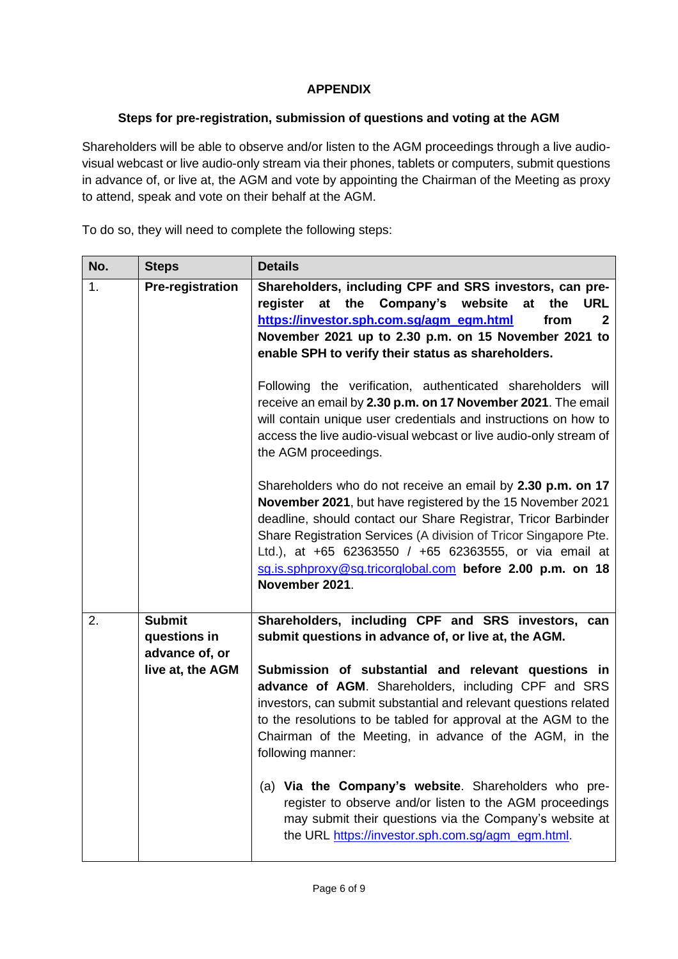## **APPENDIX**

## **Steps for pre-registration, submission of questions and voting at the AGM**

Shareholders will be able to observe and/or listen to the AGM proceedings through a live audiovisual webcast or live audio-only stream via their phones, tablets or computers, submit questions in advance of, or live at, the AGM and vote by appointing the Chairman of the Meeting as proxy to attend, speak and vote on their behalf at the AGM.

To do so, they will need to complete the following steps:

| No. | <b>Steps</b>                                    | <b>Details</b>                                                                                                                                                                                                                                                                                                                                                                                                                   |
|-----|-------------------------------------------------|----------------------------------------------------------------------------------------------------------------------------------------------------------------------------------------------------------------------------------------------------------------------------------------------------------------------------------------------------------------------------------------------------------------------------------|
| 1.  | <b>Pre-registration</b>                         | Shareholders, including CPF and SRS investors, can pre-<br>register<br>at the Company's website<br>at<br>the<br><b>URL</b><br>https://investor.sph.com.sg/agm_egm.html<br>from<br>2<br>November 2021 up to 2.30 p.m. on 15 November 2021 to<br>enable SPH to verify their status as shareholders.<br>Following the verification, authenticated shareholders will<br>receive an email by 2.30 p.m. on 17 November 2021. The email |
|     |                                                 | will contain unique user credentials and instructions on how to<br>access the live audio-visual webcast or live audio-only stream of<br>the AGM proceedings.                                                                                                                                                                                                                                                                     |
|     |                                                 | Shareholders who do not receive an email by 2.30 p.m. on 17<br>November 2021, but have registered by the 15 November 2021<br>deadline, should contact our Share Registrar, Tricor Barbinder<br>Share Registration Services (A division of Tricor Singapore Pte.<br>Ltd.), at +65 62363550 / +65 62363555, or via email at<br>sq.is.sphproxy@sq.tricorglobal.com before 2.00 p.m. on 18<br>November 2021.                         |
| 2.  | <b>Submit</b><br>questions in<br>advance of, or | Shareholders, including CPF and SRS investors, can<br>submit questions in advance of, or live at, the AGM.                                                                                                                                                                                                                                                                                                                       |
|     | live at, the AGM                                | Submission of substantial and relevant questions in<br>advance of AGM. Shareholders, including CPF and SRS<br>investors, can submit substantial and relevant questions related<br>to the resolutions to be tabled for approval at the AGM to the<br>Chairman of the Meeting, in advance of the AGM, in the<br>following manner:                                                                                                  |
|     |                                                 | (a) Via the Company's website. Shareholders who pre-<br>register to observe and/or listen to the AGM proceedings<br>may submit their questions via the Company's website at<br>the URL https://investor.sph.com.sg/agm_egm.html.                                                                                                                                                                                                 |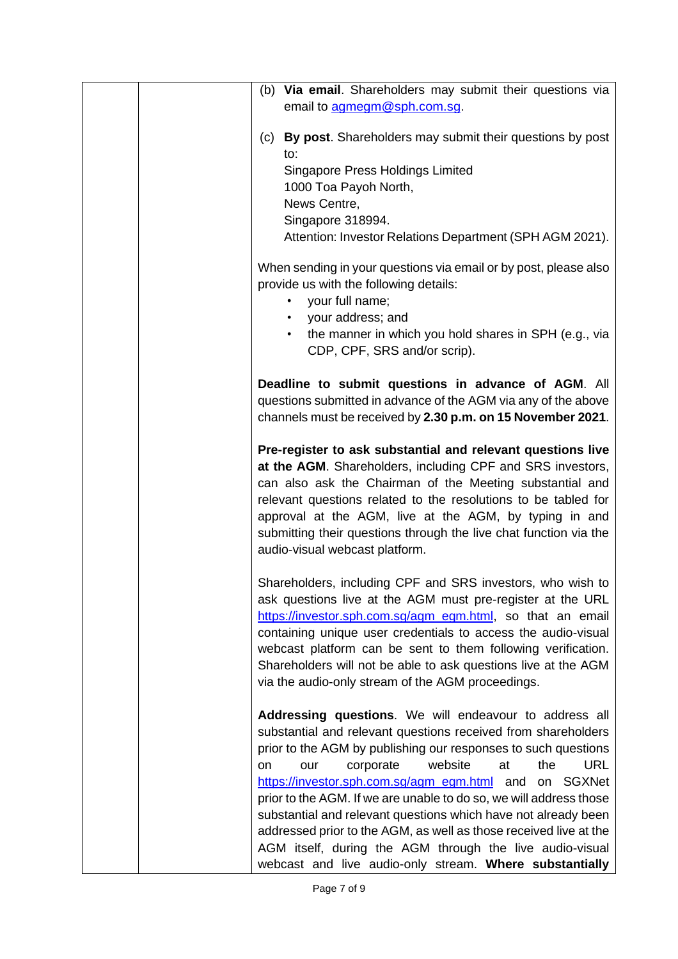|    | (b) Via email. Shareholders may submit their questions via                                                                |
|----|---------------------------------------------------------------------------------------------------------------------------|
|    | email to agmegm@sph.com.sq.                                                                                               |
|    |                                                                                                                           |
|    | (c) By post. Shareholders may submit their questions by post<br>to:                                                       |
|    | <b>Singapore Press Holdings Limited</b>                                                                                   |
|    | 1000 Toa Payoh North,                                                                                                     |
|    | News Centre,                                                                                                              |
|    | Singapore 318994.                                                                                                         |
|    | Attention: Investor Relations Department (SPH AGM 2021).                                                                  |
|    | When sending in your questions via email or by post, please also<br>provide us with the following details:                |
|    | your full name;<br>٠                                                                                                      |
|    | your address; and                                                                                                         |
|    | the manner in which you hold shares in SPH (e.g., via<br>CDP, CPF, SRS and/or scrip).                                     |
|    | Deadline to submit questions in advance of AGM. All                                                                       |
|    | questions submitted in advance of the AGM via any of the above                                                            |
|    | channels must be received by 2.30 p.m. on 15 November 2021.                                                               |
|    | Pre-register to ask substantial and relevant questions live<br>at the AGM. Shareholders, including CPF and SRS investors, |
|    | can also ask the Chairman of the Meeting substantial and                                                                  |
|    | relevant questions related to the resolutions to be tabled for                                                            |
|    | approval at the AGM, live at the AGM, by typing in and                                                                    |
|    | submitting their questions through the live chat function via the                                                         |
|    | audio-visual webcast platform.                                                                                            |
|    |                                                                                                                           |
|    | Shareholders, including CPF and SRS investors, who wish to<br>ask questions live at the AGM must pre-register at the URL  |
|    | https://investor.sph.com.sg/agm_egm.html, so that an email                                                                |
|    | containing unique user credentials to access the audio-visual                                                             |
|    | webcast platform can be sent to them following verification.                                                              |
|    | Shareholders will not be able to ask questions live at the AGM                                                            |
|    | via the audio-only stream of the AGM proceedings.                                                                         |
|    | Addressing questions. We will endeavour to address all                                                                    |
|    | substantial and relevant questions received from shareholders                                                             |
|    | prior to the AGM by publishing our responses to such questions                                                            |
| on | website<br><b>URL</b><br>at<br>the<br>corporate<br>our                                                                    |
|    | https://investor.sph.com.sg/agm_egm.html and<br>on SGXNet                                                                 |
|    | prior to the AGM. If we are unable to do so, we will address those                                                        |
|    | substantial and relevant questions which have not already been                                                            |
|    | addressed prior to the AGM, as well as those received live at the                                                         |
|    | AGM itself, during the AGM through the live audio-visual                                                                  |
|    | webcast and live audio-only stream. Where substantially                                                                   |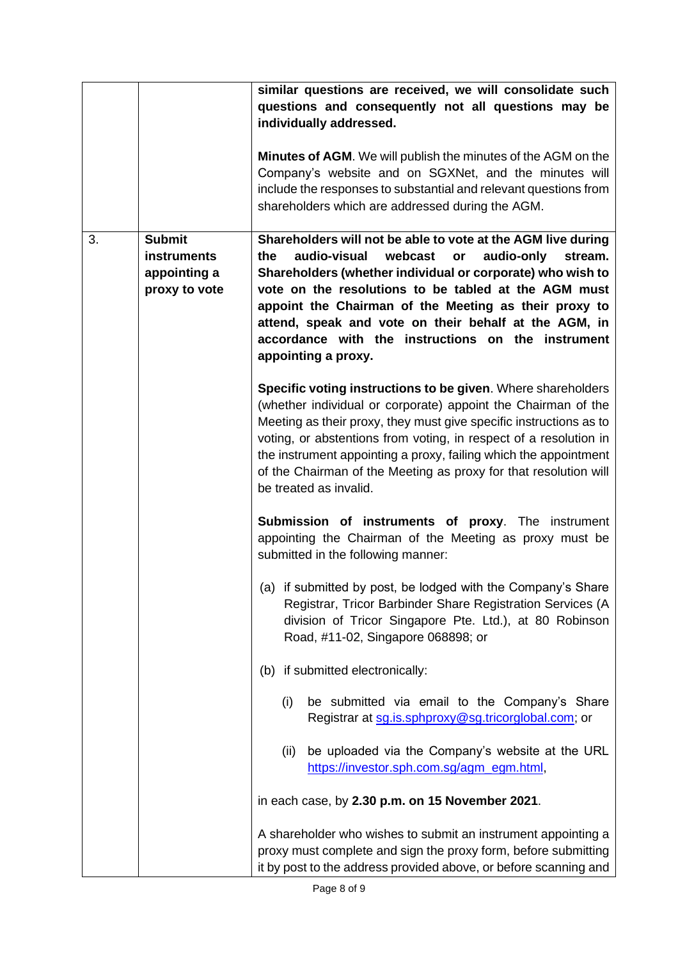|    |                                                               | similar questions are received, we will consolidate such<br>questions and consequently not all questions may be<br>individually addressed.<br><b>Minutes of AGM.</b> We will publish the minutes of the AGM on the<br>Company's website and on SGXNet, and the minutes will<br>include the responses to substantial and relevant questions from                                                                                                    |
|----|---------------------------------------------------------------|----------------------------------------------------------------------------------------------------------------------------------------------------------------------------------------------------------------------------------------------------------------------------------------------------------------------------------------------------------------------------------------------------------------------------------------------------|
|    |                                                               | shareholders which are addressed during the AGM.                                                                                                                                                                                                                                                                                                                                                                                                   |
| 3. | <b>Submit</b><br>instruments<br>appointing a<br>proxy to vote | Shareholders will not be able to vote at the AGM live during<br>audio-visual<br>webcast<br>audio-only<br>the<br>or<br>stream.<br>Shareholders (whether individual or corporate) who wish to<br>vote on the resolutions to be tabled at the AGM must<br>appoint the Chairman of the Meeting as their proxy to<br>attend, speak and vote on their behalf at the AGM, in<br>accordance with the instructions on the instrument<br>appointing a proxy. |
|    |                                                               | Specific voting instructions to be given. Where shareholders<br>(whether individual or corporate) appoint the Chairman of the<br>Meeting as their proxy, they must give specific instructions as to<br>voting, or abstentions from voting, in respect of a resolution in<br>the instrument appointing a proxy, failing which the appointment<br>of the Chairman of the Meeting as proxy for that resolution will<br>be treated as invalid.         |
|    |                                                               | <b>Submission of instruments of proxy.</b> The instrument<br>appointing the Chairman of the Meeting as proxy must be<br>submitted in the following manner:                                                                                                                                                                                                                                                                                         |
|    |                                                               | (a) if submitted by post, be lodged with the Company's Share<br>Registrar, Tricor Barbinder Share Registration Services (A<br>division of Tricor Singapore Pte. Ltd.), at 80 Robinson<br>Road, #11-02, Singapore 068898; or                                                                                                                                                                                                                        |
|    |                                                               | (b) if submitted electronically:                                                                                                                                                                                                                                                                                                                                                                                                                   |
|    |                                                               | be submitted via email to the Company's Share<br>(i)<br>Registrar at sg.is.sphproxy@sg.tricorglobal.com; or                                                                                                                                                                                                                                                                                                                                        |
|    |                                                               | be uploaded via the Company's website at the URL<br>(ii)<br>https://investor.sph.com.sg/agm_egm.html,                                                                                                                                                                                                                                                                                                                                              |
|    |                                                               | in each case, by 2.30 p.m. on 15 November 2021.                                                                                                                                                                                                                                                                                                                                                                                                    |
|    |                                                               | A shareholder who wishes to submit an instrument appointing a<br>proxy must complete and sign the proxy form, before submitting<br>it by post to the address provided above, or before scanning and                                                                                                                                                                                                                                                |